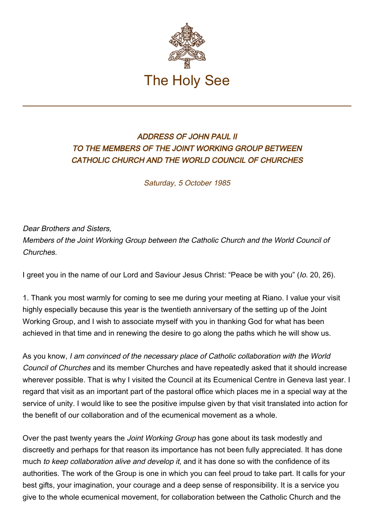

## ADDRESS OF JOHN PAUL II TO THE MEMBERS OF THE JOINT WORKING GROUP BETWEEN CATHOLIC CHURCH AND THE WORLD COUNCIL OF CHURCHES

Saturday, 5 October 1985

Dear Brothers and Sisters, Members of the Joint Working Group between the Catholic Church and the World Council of Churches.

I greet you in the name of our Lord and Saviour Jesus Christ: "Peace be with you" (Io. 20, 26).

1. Thank you most warmly for coming to see me during your meeting at Riano. I value your visit highly especially because this year is the twentieth anniversary of the setting up of the Joint Working Group, and I wish to associate myself with you in thanking God for what has been achieved in that time and in renewing the desire to go along the paths which he will show us.

As you know, I am convinced of the necessary place of Catholic collaboration with the World Council of Churches and its member Churches and have repeatedly asked that it should increase wherever possible. That is why I visited the Council at its Ecumenical Centre in Geneva last year. I regard that visit as an important part of the pastoral office which places me in a special way at the service of unity. I would like to see the positive impulse given by that visit translated into action for the benefit of our collaboration and of the ecumenical movement as a whole.

Over the past twenty years the Joint Working Group has gone about its task modestly and discreetly and perhaps for that reason its importance has not been fully appreciated. It has done much to keep collaboration alive and develop it, and it has done so with the confidence of its authorities. The work of the Group is one in which you can feel proud to take part. It calls for your best gifts, your imagination, your courage and a deep sense of responsibility. It is a service you give to the whole ecumenical movement, for collaboration between the Catholic Church and the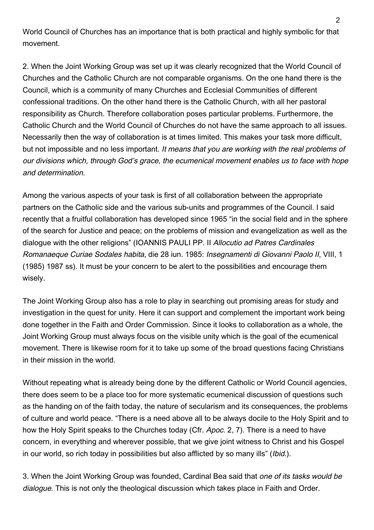World Council of Churches has an importance that is both practical and highly symbolic for that movement.

2. When the Joint Working Group was set up it was clearly recognized that the World Council of Churches and the Catholic Church are not comparable organisms. On the one hand there is the Council, which is a community of many Churches and Ecclesial Communities of different confessional traditions. On the other hand there is the Catholic Church, with all her pastoral responsibility as Church. Therefore collaboration poses particular problems. Furthermore, the Catholic Church and the World Council of Churches do not have the same approach to all issues. Necessarily then the way of collaboration is at times limited. This makes your task more difficult, but not impossible and no less important. It means that you are working with the real problems of our divisions which, through God's grace, the ecumenical movement enables us to face with hope and determination.

Among the various aspects of your task is first of all collaboration between the appropriate partners on the Catholic side and the various sub-units and programmes of the Council. I said recently that a fruitful collaboration has developed since 1965 "in the social field and in the sphere of the search for Justice and peace; on the problems of mission and evangelization as well as the dialogue with the other religions" (IOANNIS PAULI PP. II Allocutio ad Patres Cardinales Romanaeque Curiae Sodales habita, die 28 iun. 1985: Insegnamenti di Giovanni Paolo II, VIII, 1 (1985) 1987 ss). It must be your concern to be alert to the possibilities and encourage them wisely.

The Joint Working Group also has a role to play in searching out promising areas for study and investigation in the quest for unity. Here it can support and complement the important work being done together in the Faith and Order Commission. Since it looks to collaboration as a whole, the Joint Working Group must always focus on the visible unity which is the goal of the ecumenical movement. There is likewise room for it to take up some of the broad questions facing Christians in their mission in the world.

Without repeating what is already being done by the different Catholic or World Council agencies, there does seem to be a place too for more systematic ecumenical discussion of questions such as the handing on of the faith today, the nature of secularism and its consequences, the problems of culture and world peace. "There is a need above all to be always docile to the Holy Spirit and to how the Holy Spirit speaks to the Churches today (Cfr. Apoc. 2, 7). There is a need to have concern, in everything and wherever possible, that we give joint witness to Christ and his Gospel in our world, so rich today in possibilities but also afflicted by so many ills" (*Ibid.*).

3. When the Joint Working Group was founded, Cardinal Bea said that one of its tasks would be dialogue. This is not only the theological discussion which takes place in Faith and Order.